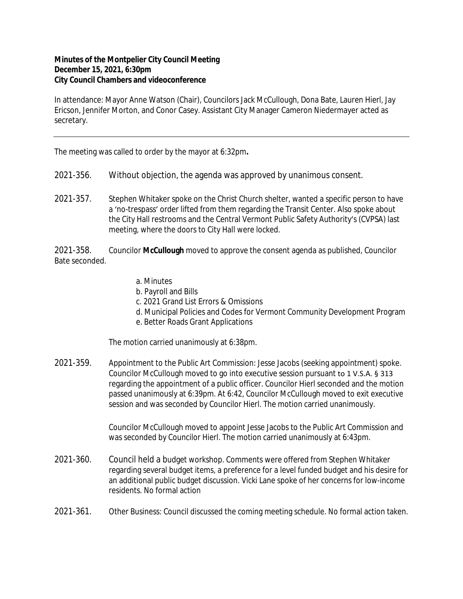## **Minutes of the Montpelier City Council Meeting December 15, 2021, 6:30pm City Council Chambers and videoconference**

In attendance: Mayor Anne Watson (Chair), Councilors Jack McCullough, Dona Bate, Lauren Hierl, Jay Ericson, Jennifer Morton, and Conor Casey. Assistant City Manager Cameron Niedermayer acted as secretary.

The meeting was called to order by the mayor at 6:32pm**.**

- 2021-356. Without objection, the agenda was approved by unanimous consent.
- 2021-357. Stephen Whitaker spoke on the Christ Church shelter, wanted a specific person to have a 'no-trespass' order lifted from them regarding the Transit Center. Also spoke about the City Hall restrooms and the Central Vermont Public Safety Authority's (CVPSA) last meeting, where the doors to City Hall were locked.

2021-358. Councilor **McCullough** moved to approve the consent agenda as published, Councilor Bate seconded.

- a. Minutes
- b. Payroll and Bills
- c. 2021 Grand List Errors & Omissions
- d. Municipal Policies and Codes for Vermont Community Development Program
- e. Better Roads Grant Applications

The motion carried unanimously at 6:38pm.

2021-359. Appointment to the Public Art Commission: Jesse Jacobs (seeking appointment) spoke. Councilor McCullough moved to go into executive session pursuant to 1 V.S.A. § 313 regarding the appointment of a public officer. Councilor Hierl seconded and the motion passed unanimously at 6:39pm. At 6:42, Councilor McCullough moved to exit executive session and was seconded by Councilor Hierl. The motion carried unanimously.

> Councilor McCullough moved to appoint Jesse Jacobs to the Public Art Commission and was seconded by Councilor Hierl. The motion carried unanimously at 6:43pm.

- 2021-360. Council held a budget workshop. Comments were offered from Stephen Whitaker regarding several budget items, a preference for a level funded budget and his desire for an additional public budget discussion. Vicki Lane spoke of her concerns for low-income residents. No formal action
- 2021-361. Other Business: Council discussed the coming meeting schedule. No formal action taken.